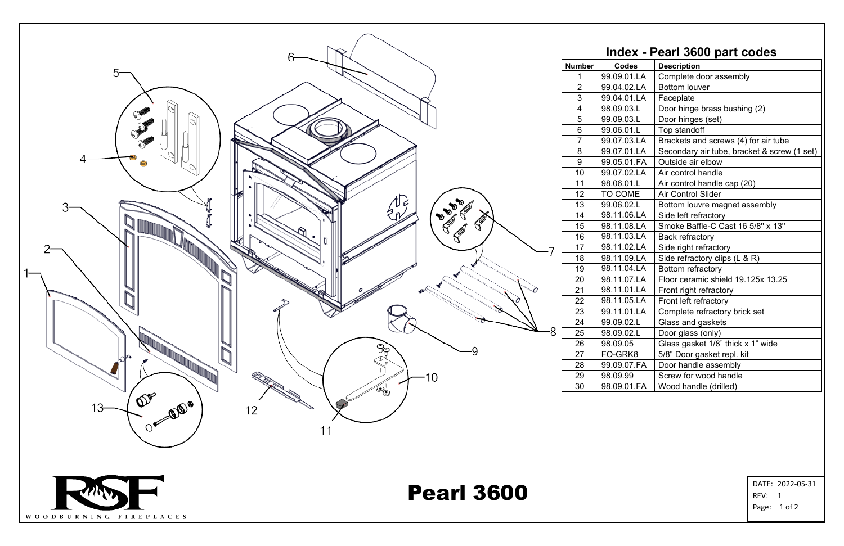| Index - Pearl 3600 part codes |              |                                             |
|-------------------------------|--------------|---------------------------------------------|
| nber                          | <b>Codes</b> | <b>Description</b>                          |
| 1                             | 99.09.01.LA  | Complete door assembly                      |
| $\overline{2}$                | 99.04.02.LA  | <b>Bottom louver</b>                        |
| <u>3</u>                      | 99.04.01.LA  | Faceplate                                   |
| $\frac{4}{1}$                 | 98.09.03.L   | Door hinge brass bushing (2)                |
| $\overline{5}$                | 99.09.03.L   | Door hinges (set)                           |
| 6                             | 99.06.01.L   | Top standoff                                |
| $\overline{7}$                | 99.07.03.LA  | Brackets and screws (4) for air tube        |
| 8                             | 99.07.01.LA  | Secondary air tube, bracket & screw (1 set) |
| 9                             | 99.05.01.FA  | Outside air elbow                           |
| 10                            | 99.07.02.LA  | Air control handle                          |
| $\overline{11}$               | 98.06.01.L   | Air control handle cap (20)                 |
| $\overline{2}$                | TO COME      | <b>Air Control Slider</b>                   |
| 3                             | 99.06.02.L   | Bottom louvre magnet assembly               |
| 14                            | 98.11.06.LA  | Side left refractory                        |
| 15                            | 98.11.08.LA  | Smoke Baffle-C Cast 16 5/8" x 13"           |
| $6\overline{6}$               | 98.11.03.LA  | <b>Back refractory</b>                      |
| $\overline{7}$                | 98.11.02.LA  | Side right refractory                       |
| 18                            | 98.11.09.LA  | Side refractory clips $(L & R)$             |
| 19                            | 98.11.04.LA  | Bottom refractory                           |
| 20                            | 98.11.07.LA  | Floor ceramic shield 19.125x 13.25          |
| $\frac{21}{1}$                | 98.11.01.LA  | Front right refractory                      |
| $\frac{2}{2}$                 | 98.11.05.LA  | Front left refractory                       |
| $\frac{23}{2}$                | 99.11.01.LA  | Complete refractory brick set               |
| $\frac{24}{25}$               | 99.09.02.L   | Glass and gaskets                           |
|                               | 98.09.02.L   | Door glass (only)                           |
| 26                            | 98.09.05     | Glass gasket 1/8" thick x 1" wide           |
| $\frac{27}{2}$                | FO-GRK8      | 5/8" Door gasket repl. kit                  |
| 28                            | 99.09.07.FA  | Door handle assembly                        |
| 29                            | 98.09.99     | Screw for wood handle                       |
| 30                            | 98.09.01.FA  | Wood handle (drilled)                       |



REV: 1 Page: 1 of 2